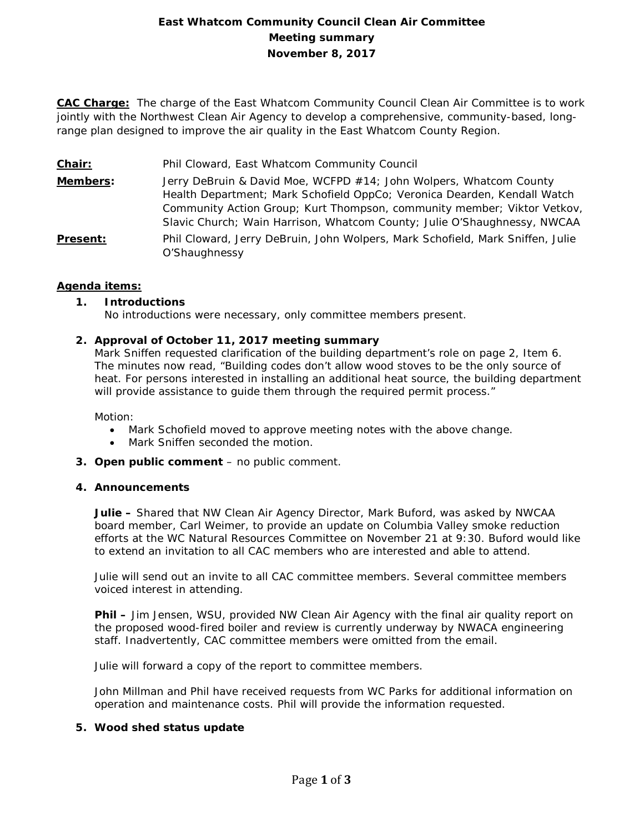# **East Whatcom Community Council Clean Air Committee Meeting summary November 8, 2017**

**CAC Charge:** The charge of the East Whatcom Community Council Clean Air Committee is to work jointly with the Northwest Clean Air Agency to develop a comprehensive, community-based, longrange plan designed to improve the air quality in the East Whatcom County Region.

- **Chair:** Phil Cloward, East Whatcom Community Council
- **Members:** Jerry DeBruin & David Moe, WCFPD #14; John Wolpers, Whatcom County Health Department; Mark Schofield OppCo; Veronica Dearden, Kendall Watch Community Action Group; Kurt Thompson, community member; Viktor Vetkov, Slavic Church; Wain Harrison, Whatcom County; Julie O'Shaughnessy, NWCAA **Present:** Phil Cloward, Jerry DeBruin, John Wolpers, Mark Schofield, Mark Sniffen, Julie

### **Agenda items:**

## **1. Introductions**

No introductions were necessary, only committee members present.

## **2. Approval of October 11, 2017 meeting summary**

O'Shaughnessy

Mark Sniffen requested clarification of the building department's role on page 2, Item 6. The minutes now read, "Building codes don't allow wood stoves to be the only source of heat. For persons interested in installing an additional heat source, the building department will provide assistance to guide them through the required permit process."

Motion:

- Mark Schofield moved to approve meeting notes with the above change.
- Mark Sniffen seconded the motion.
- **3. Open public comment**  no public comment.

### **4. Announcements**

**Julie –** Shared that NW Clean Air Agency Director, Mark Buford, was asked by NWCAA board member, Carl Weimer, to provide an update on Columbia Valley smoke reduction efforts at the WC Natural Resources Committee on November 21 at 9:30. Buford would like to extend an invitation to all CAC members who are interested and able to attend.

Julie will send out an invite to all CAC committee members. Several committee members voiced interest in attending.

**Phil –** Jim Jensen, WSU, provided NW Clean Air Agency with the final air quality report on the proposed wood-fired boiler and review is currently underway by NWACA engineering staff. Inadvertently, CAC committee members were omitted from the email.

Julie will forward a copy of the report to committee members.

John Millman and Phil have received requests from WC Parks for additional information on operation and maintenance costs. Phil will provide the information requested.

### **5. Wood shed status update**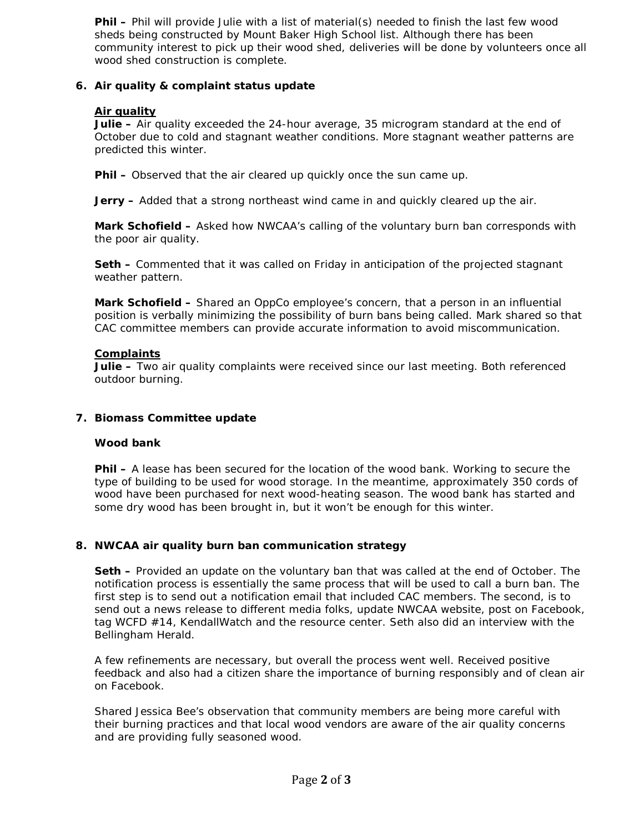**Phil –** Phil will provide Julie with a list of material(s) needed to finish the last few wood sheds being constructed by Mount Baker High School list. Although there has been community interest to pick up their wood shed, deliveries will be done by volunteers once all wood shed construction is complete.

# **6. Air quality & complaint status update**

## **Air quality**

**Julie –** Air quality exceeded the 24-hour average, 35 microgram standard at the end of October due to cold and stagnant weather conditions. More stagnant weather patterns are predicted this winter.

**Phil –** Observed that the air cleared up quickly once the sun came up.

**Jerry –** Added that a strong northeast wind came in and quickly cleared up the air.

**Mark Schofield –** Asked how NWCAA's calling of the voluntary burn ban corresponds with the poor air quality.

**Seth –** Commented that it was called on Friday in anticipation of the projected stagnant weather pattern.

**Mark Schofield –** Shared an OppCo employee's concern, that a person in an influential position is verbally minimizing the possibility of burn bans being called. Mark shared so that CAC committee members can provide accurate information to avoid miscommunication.

### **Complaints**

**Julie –** Two air quality complaints were received since our last meeting. Both referenced outdoor burning.

### **7. Biomass Committee update**

### **Wood bank**

**Phil –** A lease has been secured for the location of the wood bank. Working to secure the type of building to be used for wood storage. In the meantime, approximately 350 cords of wood have been purchased for next wood-heating season. The wood bank has started and some dry wood has been brought in, but it won't be enough for this winter.

# **8. NWCAA air quality burn ban communication strategy**

**Seth –** Provided an update on the voluntary ban that was called at the end of October. The notification process is essentially the same process that will be used to call a burn ban. The first step is to send out a notification email that included CAC members. The second, is to send out a news release to different media folks, update NWCAA website, post on Facebook, tag WCFD #14, KendallWatch and the resource center. Seth also did an interview with the Bellingham Herald.

A few refinements are necessary, but overall the process went well. Received positive feedback and also had a citizen share the importance of burning responsibly and of clean air on Facebook.

Shared Jessica Bee's observation that community members are being more careful with their burning practices and that local wood vendors are aware of the air quality concerns and are providing fully seasoned wood.